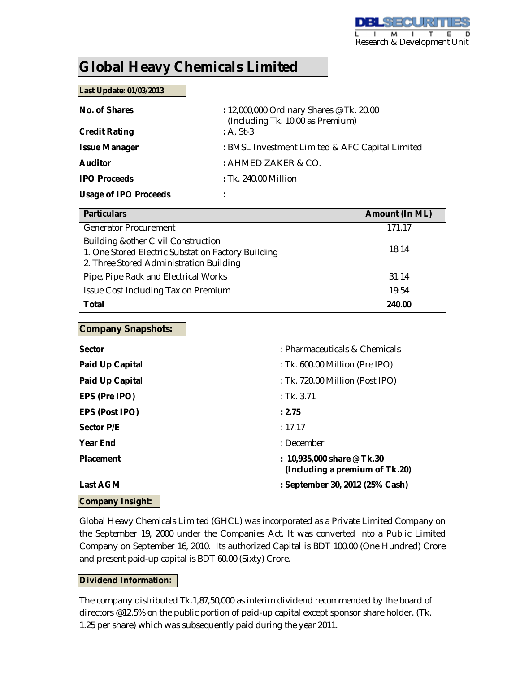# **Global Heavy Chemicals Limited**

#### **Last Update: 01/03/2013**

| No. of Shares                | : 12,000,000 Ordinary Shares @ Tk. 20.00<br>(Including Tk. 10.00 as Premium) |
|------------------------------|------------------------------------------------------------------------------|
| <b>Credit Rating</b>         | $: A, St-3$                                                                  |
| <b>Issue Manager</b>         | : BMSL Investment Limited & AFC Capital Limited                              |
| <b>Auditor</b>               | : AHMED ZAKER & CO.                                                          |
| <b>IPO Proceeds</b>          | $:$ Tk. 240.00 Million                                                       |
| <b>Usage of IPO Proceeds</b> |                                                                              |

| <b>Particulars</b>                                                                                                                   | <b>Amount (In ML)</b> |
|--------------------------------------------------------------------------------------------------------------------------------------|-----------------------|
| <b>Generator Procurement</b>                                                                                                         | 171.17                |
| Building & other Civil Construction<br>1. One Stored Electric Substation Factory Building<br>2. Three Stored Administration Building | 18.14                 |
| Pipe, Pipe Rack and Electrical Works                                                                                                 | 31.14                 |
| Issue Cost Including Tax on Premium                                                                                                  | 19.54                 |
| <b>Total</b>                                                                                                                         | 240.00                |

#### **Company Snapshots:**

| <b>Sector</b>           | : Pharmaceuticals & Chemicals                                  |
|-------------------------|----------------------------------------------------------------|
| <b>Paid Up Capital</b>  | : Tk. 600.00 Million (Pre IPO)                                 |
| <b>Paid Up Capital</b>  | : Tk. 720.00 Million (Post IPO)                                |
| EPS (Pre IPO)           | : Tk. 3.71                                                     |
| <b>EPS (Post IPO)</b>   | : 2.75                                                         |
| <b>Sector P/E</b>       | : 17.17                                                        |
| <b>Year End</b>         | : December                                                     |
| <b>Placement</b>        | : $10,935,000$ share @ Tk.30<br>(Including a premium of Tk.20) |
| <b>Last AGM</b>         | : September 30, 2012 (25% Cash)                                |
| <b>Company Insight:</b> |                                                                |

Global Heavy Chemicals Limited (GHCL) was incorporated as a Private Limited Company on the September 19, 2000 under the Companies Act. It was converted into a Public Limited Company on September 16, 2010. Its authorized Capital is BDT 100.00 (One Hundred) Crore and present paid-up capital is BDT 60.00 (Sixty) Crore.

#### **Dividend Information:**

The company distributed Tk.1,87,50,000 as interim dividend recommended by the board of directors @12.5% on the public portion of paid-up capital except sponsor share holder. (Tk. 1.25 per share) which was subsequently paid during the year 2011.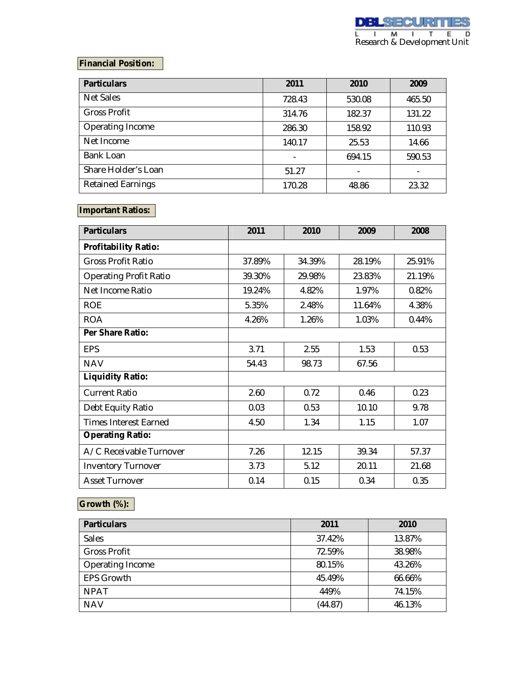## **Financial Position:**

| <b>Particulars</b>       | 2011   | 2010   | 2009   |
|--------------------------|--------|--------|--------|
| <b>Net Sales</b>         | 728.43 | 530.08 | 465.50 |
| <b>Gross Profit</b>      | 314.76 | 182.37 | 131.22 |
| Operating Income         | 286.30 | 158.92 | 110.93 |
| Net Income               | 140.17 | 25.53  | 14.66  |
| Bank Loan                |        | 694.15 | 590.53 |
| Share Holder's Loan      | 51.27  |        |        |
| <b>Retained Earnings</b> | 170.28 | 48.86  | 23.32  |

## **Important Ratios:**

| <b>Particulars</b>            | 2011   | 2010   | 2009   | 2008   |
|-------------------------------|--------|--------|--------|--------|
| <b>Profitability Ratio:</b>   |        |        |        |        |
| <b>Gross Profit Ratio</b>     | 37.89% | 34.39% | 28.19% | 25.91% |
| <b>Operating Profit Ratio</b> | 39.30% | 29.98% | 23.83% | 21.19% |
| Net Income Ratio              | 19.24% | 4.82%  | 1.97%  | 0.82%  |
| <b>ROE</b>                    | 5.35%  | 2.48%  | 11.64% | 4.38%  |
| <b>ROA</b>                    | 4.26%  | 1.26%  | 1.03%  | 0.44%  |
| Per Share Ratio:              |        |        |        |        |
| <b>EPS</b>                    | 3.71   | 2.55   | 1.53   | 0.53   |
| <b>NAV</b>                    | 54.43  | 98.73  | 67.56  |        |
| <b>Liquidity Ratio:</b>       |        |        |        |        |
| <b>Current Ratio</b>          | 2.60   | 0.72   | 0.46   | 0.23   |
| Debt Equity Ratio             | 0.03   | 0.53   | 10.10  | 9.78   |
| <b>Times Interest Earned</b>  | 4.50   | 1.34   | 1.15   | 1.07   |
| <b>Operating Ratio:</b>       |        |        |        |        |
| A/C Receivable Turnover       | 7.26   | 12.15  | 39.34  | 57.37  |
| <b>Inventory Turnover</b>     | 3.73   | 5.12   | 20.11  | 21.68  |
| <b>Asset Turnover</b>         | 0.14   | 0.15   | 0.34   | 0.35   |

# **Growth (%):**

| <b>Particulars</b>  | 2011    | 2010   |
|---------------------|---------|--------|
| <b>Sales</b>        | 37.42%  | 13.87% |
| <b>Gross Profit</b> | 72.59%  | 38.98% |
| Operating Income    | 80.15%  | 43.26% |
| <b>EPS Growth</b>   | 45.49%  | 66.66% |
| <b>NPAT</b>         | 449%    | 74.15% |
| <b>NAV</b>          | (44.87) | 46.13% |